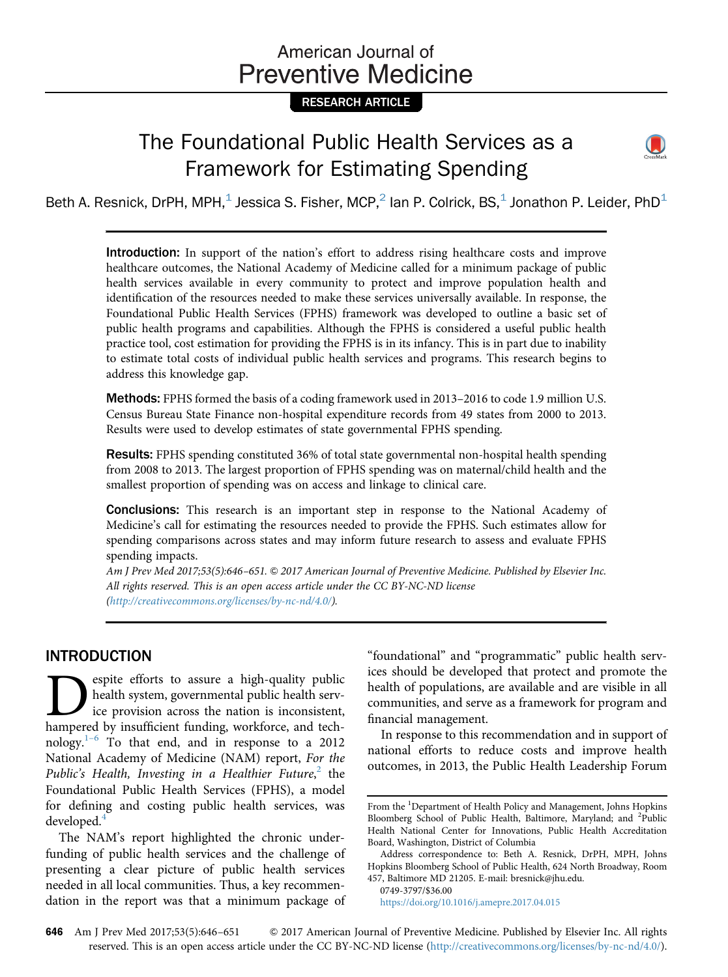## American Journal of **Preventive Medicine**

### RESEARCH ARTICLE

# The Foundational Public Health Services as a Framework for Estimating Spending



Beth A. Resnick, DrPH, MPH,<sup>1</sup> Jessica S. Fisher, MCP,<sup>2</sup> Ian P. Colrick, BS,<sup>1</sup> Jonathon P. Leider, PhD<sup>1</sup>

Introduction: In support of the nation's effort to address rising healthcare costs and improve healthcare outcomes, the National Academy of Medicine called for a minimum package of public health services available in every community to protect and improve population health and identification of the resources needed to make these services universally available. In response, the Foundational Public Health Services (FPHS) framework was developed to outline a basic set of public health programs and capabilities. Although the FPHS is considered a useful public health practice tool, cost estimation for providing the FPHS is in its infancy. This is in part due to inability to estimate total costs of individual public health services and programs. This research begins to address this knowledge gap.

Methods: FPHS formed the basis of a coding framework used in 2013–2016 to code 1.9 million U.S. Census Bureau State Finance non-hospital expenditure records from 49 states from 2000 to 2013. Results were used to develop estimates of state governmental FPHS spending.

Results: FPHS spending constituted 36% of total state governmental non-hospital health spending from 2008 to 2013. The largest proportion of FPHS spending was on maternal/child health and the smallest proportion of spending was on access and linkage to clinical care.

**Conclusions:** This research is an important step in response to the National Academy of Medicine's call for estimating the resources needed to provide the FPHS. Such estimates allow for spending comparisons across states and may inform future research to assess and evaluate FPHS spending impacts.

Am J Prev Med 2017;53(5):646–651. & 2017 American Journal of Preventive Medicine. Published by Elsevier Inc. All rights reserved. This is an open access article under the CC BY-NC-ND license (http://creativecommons.org/licenses/by-nc-nd/4.0/).

## INTRODUCTION

**1988** espite efforts to assure a high-quality public health service provision across the nation is inconsistent, hampered by insufficient funding, workforce, and techhealth system, governmental public health service provision across the nation is inconsistent, hampered by insufficient funding, workforce, and technology. $1-6$  $1-6$  $1-6$  To that end, and in response to a 2012 National Academy of Medicine (NAM) report, For the Public's Health, Investing in a Healthier Future,<sup>[2](#page-5-0)</sup> the Foundational Public Health Services (FPHS), a model for defining and costing public health services, was developed.<sup>4</sup>

The NAM's report highlighted the chronic underfunding of public health services and the challenge of presenting a clear picture of public health services needed in all local communities. Thus, a key recommendation in the report was that a minimum package of

"foundational" and "programmatic" public health services should be developed that protect and promote the health of populations, are available and are visible in all communities, and serve as a framework for program and financial management.

In response to this recommendation and in support of national efforts to reduce costs and improve health outcomes, in 2013, the Public Health Leadership Forum

<https://doi.org/10.1016/j.amepre.2017.04.015>

From the <sup>1</sup>Department of Health Policy and Management, Johns Hopkins Bloomberg School of Public Health, Baltimore, Maryland; and <sup>2</sup>Public Health National Center for Innovations, Public Health Accreditation Board, Washington, District of Columbia

Address correspondence to: Beth A. Resnick, DrPH, MPH, Johns Hopkins Bloomberg School of Public Health, 624 North Broadway, Room 457, Baltimore MD 21205. E-mail: [bresnick@jhu.edu.](mailto:bresnick@jhu.edu) 0749-3797/\$36.00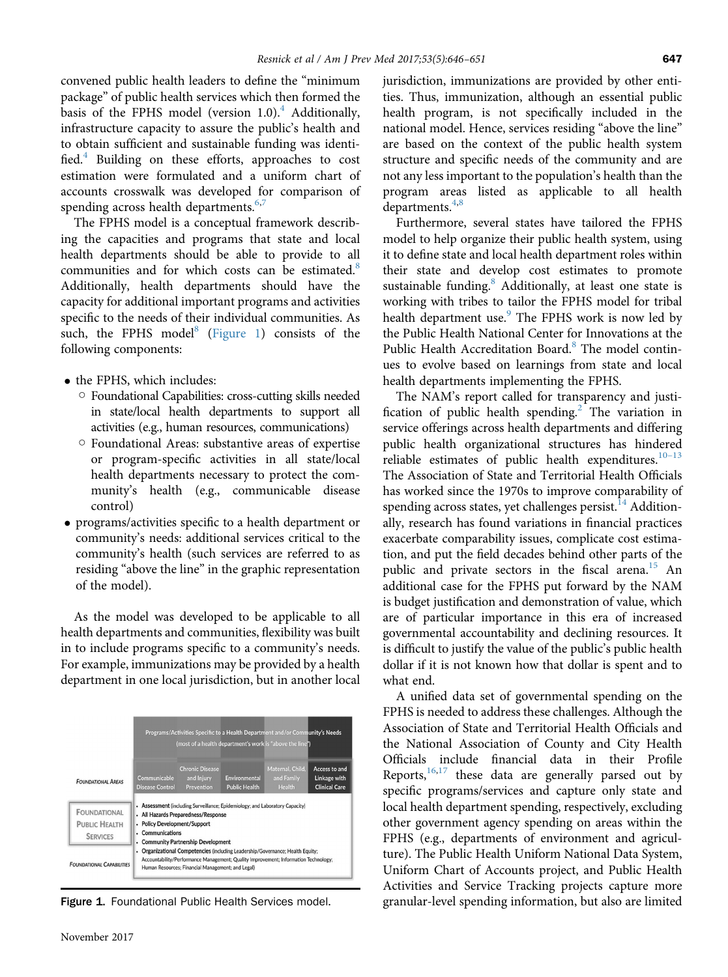convened public health leaders to define the "minimum package" of public health services which then formed the basis of the FPHS model (version 1.0).<sup>[4](#page-5-0)</sup> Additionally, infrastructure capacity to assure the public's health and to obtain sufficient and sustainable funding was identi-fied.<sup>[4](#page-5-0)</sup> Building on these efforts, approaches to cost estimation were formulated and a uniform chart of accounts crosswalk was developed for comparison of spending across health departments.<sup>[6,7](#page-5-0)</sup>

The FPHS model is a conceptual framework describing the capacities and programs that state and local health departments should be able to provide to all communities and for which costs can be estimated.<sup>8</sup> Additionally, health departments should have the capacity for additional important programs and activities specific to the needs of their individual communities. As such, the FPHS model<sup>[8](#page-5-0)</sup> (Figure 1) consists of the following components:

- the FPHS, which includes:
	- Foundational Capabilities: cross-cutting skills needed in state/local health departments to support all activities (e.g., human resources, communications)
	- Foundational Areas: substantive areas of expertise or program-specific activities in all state/local health departments necessary to protect the community's health (e.g., communicable disease control)
- programs/activities specific to a health department or community's needs: additional services critical to the community's health (such services are referred to as residing "above the line" in the graphic representation of the model).

As the model was developed to be applicable to all health departments and communities, flexibility was built in to include programs specific to a community's needs. For example, immunizations may be provided by a health department in one local jurisdiction, but in another local



jurisdiction, immunizations are provided by other entities. Thus, immunization, although an essential public health program, is not specifically included in the national model. Hence, services residing "above the line" are based on the context of the public health system structure and specific needs of the community and are not any less important to the population's health than the program areas listed as applicable to all health departments.<sup>[4,8](#page-5-0)</sup>

Furthermore, several states have tailored the FPHS model to help organize their public health system, using it to define state and local health department roles within their state and develop cost estimates to promote sustainable funding.<sup>[8](#page-5-0)</sup> Additionally, at least one state is working with tribes to tailor the FPHS model for tribal health department use.<sup>[9](#page-5-0)</sup> The FPHS work is now led by the Public Health National Center for Innovations at the Public Health Accreditation Board.<sup>[8](#page-5-0)</sup> The model continues to evolve based on learnings from state and local health departments implementing the FPHS.

The NAM's report called for transparency and justification of public health spending.<sup>2</sup> The variation in service offerings across health departments and differing public health organizational structures has hindered reliable estimates of public health expenditures. $10-13$  $10-13$  $10-13$ The Association of State and Territorial Health Officials has worked since the 1970s to improve comparability of spending across states, yet challenges persist. $^{14}$  $^{14}$  $^{14}$  Additionally, research has found variations in financial practices exacerbate comparability issues, complicate cost estimation, and put the field decades behind other parts of the public and private sectors in the fiscal arena.<sup>15</sup> An additional case for the FPHS put forward by the NAM is budget justification and demonstration of value, which are of particular importance in this era of increased governmental accountability and declining resources. It is difficult to justify the value of the public's public health dollar if it is not known how that dollar is spent and to what end.

A unified data set of governmental spending on the FPHS is needed to address these challenges. Although the Association of State and Territorial Health Officials and the National Association of County and City Health Officials include financial data in their Profile Reports,  $16,17$  $16,17$  $16,17$  these data are generally parsed out by specific programs/services and capture only state and local health department spending, respectively, excluding other government agency spending on areas within the FPHS (e.g., departments of environment and agriculture). The Public Health Uniform National Data System, Uniform Chart of Accounts project, and Public Health Activities and Service Tracking projects capture more Figure 1. Foundational Public Health Services model. *granular-level spending information*, but also are limited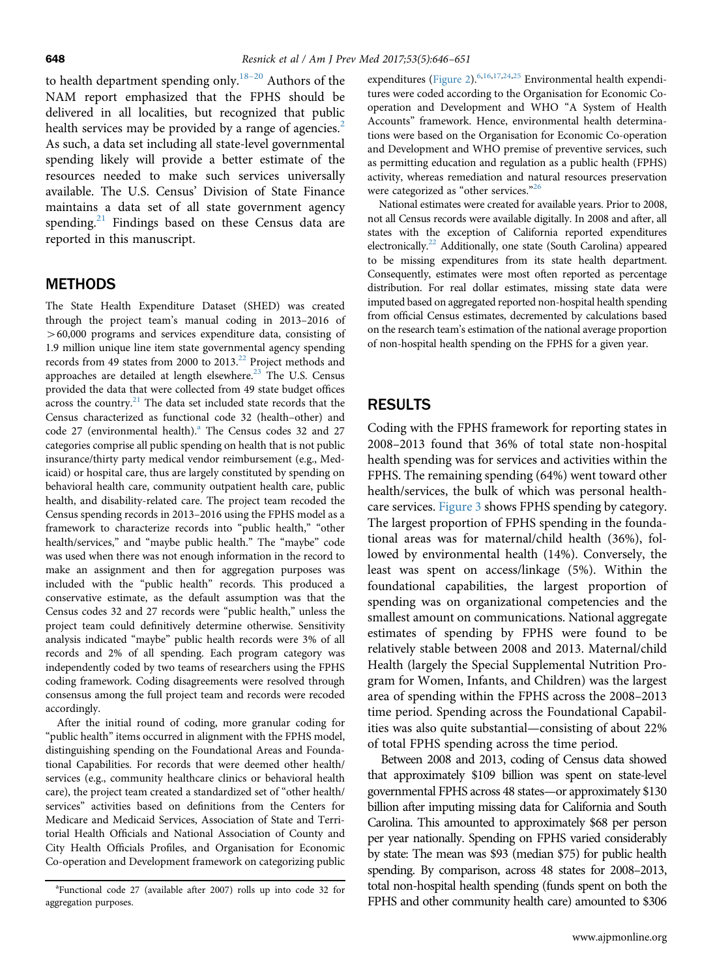to health department spending only. $18-20$  $18-20$  Authors of the NAM report emphasized that the FPHS should be delivered in all localities, but recognized that public health services may be provided by a range of agencies.<sup>2</sup> As such, a data set including all state-level governmental spending likely will provide a better estimate of the resources needed to make such services universally available. The U.S. Census' Division of State Finance maintains a data set of all state government agency spending. $21$  Findings based on these Census data are reported in this manuscript.

#### METHODS

The State Health Expenditure Dataset (SHED) was created through the project team's manual coding in 2013–2016 of 460,000 programs and services expenditure data, consisting of 1.9 million unique line item state governmental agency spending records from 49 states from 2000 to 2013.<sup>[22](#page-5-0)</sup> Project methods and approaches are detailed at length elsewhere.<sup>[23](#page-5-0)</sup> The U.S. Census provided the data that were collected from 49 state budget offices across the country. $21$  The data set included state records that the Census characterized as functional code 32 (health–other) and code 27 (environmental health).<sup>a</sup> The Census codes 32 and 27 categories comprise all public spending on health that is not public insurance/thirty party medical vendor reimbursement (e.g., Medicaid) or hospital care, thus are largely constituted by spending on behavioral health care, community outpatient health care, public health, and disability-related care. The project team recoded the Census spending records in 2013–2016 using the FPHS model as a framework to characterize records into "public health," "other health/services," and "maybe public health." The "maybe" code was used when there was not enough information in the record to make an assignment and then for aggregation purposes was included with the "public health" records. This produced a conservative estimate, as the default assumption was that the Census codes 32 and 27 records were "public health," unless the project team could definitively determine otherwise. Sensitivity analysis indicated "maybe" public health records were 3% of all records and 2% of all spending. Each program category was independently coded by two teams of researchers using the FPHS coding framework. Coding disagreements were resolved through consensus among the full project team and records were recoded accordingly.

After the initial round of coding, more granular coding for "public health" items occurred in alignment with the FPHS model, distinguishing spending on the Foundational Areas and Foundational Capabilities. For records that were deemed other health/ services (e.g., community healthcare clinics or behavioral health care), the project team created a standardized set of "other health/ services" activities based on definitions from the Centers for Medicare and Medicaid Services, Association of State and Territorial Health Officials and National Association of County and City Health Officials Profiles, and Organisation for Economic Co-operation and Development framework on categorizing public expenditures ([Figure 2](#page-3-0)).<sup>[6,16,17,24,25](#page-5-0)</sup> Environmental health expenditures were coded according to the Organisation for Economic Cooperation and Development and WHO "A System of Health Accounts" framework. Hence, environmental health determinations were based on the Organisation for Economic Co-operation and Development and WHO premise of preventive services, such as permitting education and regulation as a public health (FPHS) activity, whereas remediation and natural resources preservation were categorized as "other services."<sup>[26](#page-5-0)</sup>

National estimates were created for available years. Prior to 2008, not all Census records were available digitally. In 2008 and after, all states with the exception of California reported expenditures electronically.<sup>22</sup> Additionally, one state (South Carolina) appeared to be missing expenditures from its state health department. Consequently, estimates were most often reported as percentage distribution. For real dollar estimates, missing state data were imputed based on aggregated reported non-hospital health spending from official Census estimates, decremented by calculations based on the research team's estimation of the national average proportion of non-hospital health spending on the FPHS for a given year.

#### RESULTS

Coding with the FPHS framework for reporting states in 2008–2013 found that 36% of total state non-hospital health spending was for services and activities within the FPHS. The remaining spending (64%) went toward other health/services, the bulk of which was personal healthcare services. [Figure 3](#page-3-0) shows FPHS spending by category. The largest proportion of FPHS spending in the foundational areas was for maternal/child health (36%), followed by environmental health (14%). Conversely, the least was spent on access/linkage (5%). Within the foundational capabilities, the largest proportion of spending was on organizational competencies and the smallest amount on communications. National aggregate estimates of spending by FPHS were found to be relatively stable between 2008 and 2013. Maternal/child Health (largely the Special Supplemental Nutrition Program for Women, Infants, and Children) was the largest area of spending within the FPHS across the 2008–2013 time period. Spending across the Foundational Capabilities was also quite substantial—consisting of about 22% of total FPHS spending across the time period.

Between 2008 and 2013, coding of Census data showed that approximately \$109 billion was spent on state-level governmental FPHS across 48 states—or approximately \$130 billion after imputing missing data for California and South Carolina. This amounted to approximately \$68 per person per year nationally. Spending on FPHS varied considerably by state: The mean was \$93 (median \$75) for public health spending. By comparison, across 48 states for 2008–2013, total non-hospital health spending (funds spent on both the FPHS and other community health care) amounted to \$306

a Functional code 27 (available after 2007) rolls up into code 32 for aggregation purposes.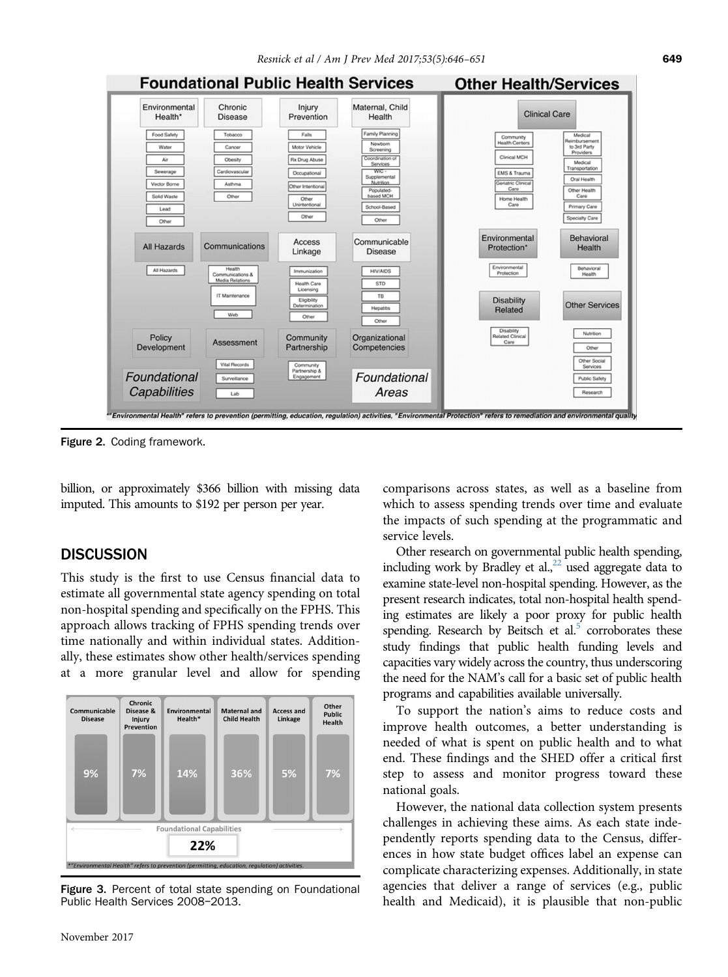<span id="page-3-0"></span>

Figure 2. Coding framework.

billion, or approximately \$366 billion with missing data imputed. This amounts to \$192 per person per year.

#### **DISCUSSION**

This study is the first to use Census financial data to estimate all governmental state agency spending on total non-hospital spending and specifically on the FPHS. This approach allows tracking of FPHS spending trends over time nationally and within individual states. Additionally, these estimates show other health/services spending at a more granular level and allow for spending



Figure 3. Percent of total state spending on Foundational Public Health Services 2008–2013.

comparisons across states, as well as a baseline from which to assess spending trends over time and evaluate the impacts of such spending at the programmatic and service levels.

Other research on governmental public health spending, including work by Bradley et al., $^{22}$  used aggregate data to examine state-level non-hospital spending. However, as the present research indicates, total non-hospital health spending estimates are likely a poor proxy for public health spending. Research by Beitsch et al. $5$  corroborates these study findings that public health funding levels and capacities vary widely across the country, thus underscoring the need for the NAM's call for a basic set of public health programs and capabilities available universally.

To support the nation's aims to reduce costs and improve health outcomes, a better understanding is needed of what is spent on public health and to what end. These findings and the SHED offer a critical first step to assess and monitor progress toward these national goals.

However, the national data collection system presents challenges in achieving these aims. As each state independently reports spending data to the Census, differences in how state budget offices label an expense can complicate characterizing expenses. Additionally, in state agencies that deliver a range of services (e.g., public health and Medicaid), it is plausible that non-public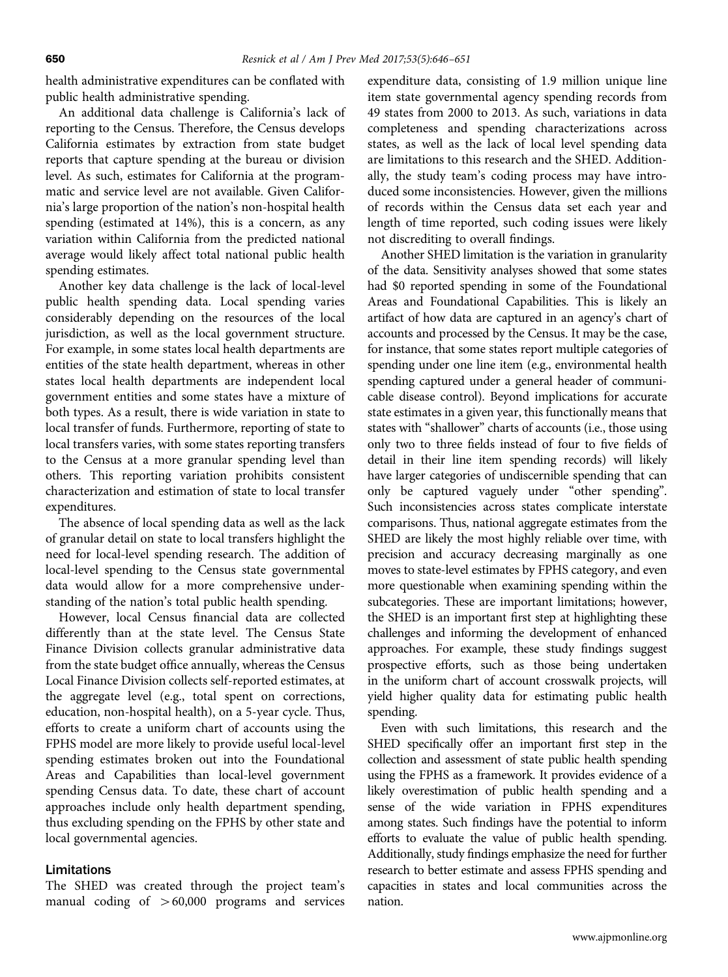health administrative expenditures can be conflated with public health administrative spending.

An additional data challenge is California's lack of reporting to the Census. Therefore, the Census develops California estimates by extraction from state budget reports that capture spending at the bureau or division level. As such, estimates for California at the programmatic and service level are not available. Given California's large proportion of the nation's non-hospital health spending (estimated at 14%), this is a concern, as any variation within California from the predicted national average would likely affect total national public health spending estimates.

Another key data challenge is the lack of local-level public health spending data. Local spending varies considerably depending on the resources of the local jurisdiction, as well as the local government structure. For example, in some states local health departments are entities of the state health department, whereas in other states local health departments are independent local government entities and some states have a mixture of both types. As a result, there is wide variation in state to local transfer of funds. Furthermore, reporting of state to local transfers varies, with some states reporting transfers to the Census at a more granular spending level than others. This reporting variation prohibits consistent characterization and estimation of state to local transfer expenditures.

The absence of local spending data as well as the lack of granular detail on state to local transfers highlight the need for local-level spending research. The addition of local-level spending to the Census state governmental data would allow for a more comprehensive understanding of the nation's total public health spending.

However, local Census financial data are collected differently than at the state level. The Census State Finance Division collects granular administrative data from the state budget office annually, whereas the Census Local Finance Division collects self-reported estimates, at the aggregate level (e.g., total spent on corrections, education, non-hospital health), on a 5-year cycle. Thus, efforts to create a uniform chart of accounts using the FPHS model are more likely to provide useful local-level spending estimates broken out into the Foundational Areas and Capabilities than local-level government spending Census data. To date, these chart of account approaches include only health department spending, thus excluding spending on the FPHS by other state and local governmental agencies.

#### Limitations

The SHED was created through the project team's manual coding of  $>60,000$  programs and services expenditure data, consisting of 1.9 million unique line item state governmental agency spending records from 49 states from 2000 to 2013. As such, variations in data completeness and spending characterizations across states, as well as the lack of local level spending data are limitations to this research and the SHED. Additionally, the study team's coding process may have introduced some inconsistencies. However, given the millions of records within the Census data set each year and length of time reported, such coding issues were likely not discrediting to overall findings.

Another SHED limitation is the variation in granularity of the data. Sensitivity analyses showed that some states had \$0 reported spending in some of the Foundational Areas and Foundational Capabilities. This is likely an artifact of how data are captured in an agency's chart of accounts and processed by the Census. It may be the case, for instance, that some states report multiple categories of spending under one line item (e.g., environmental health spending captured under a general header of communicable disease control). Beyond implications for accurate state estimates in a given year, this functionally means that states with "shallower" charts of accounts (i.e., those using only two to three fields instead of four to five fields of detail in their line item spending records) will likely have larger categories of undiscernible spending that can only be captured vaguely under "other spending". Such inconsistencies across states complicate interstate comparisons. Thus, national aggregate estimates from the SHED are likely the most highly reliable over time, with precision and accuracy decreasing marginally as one moves to state-level estimates by FPHS category, and even more questionable when examining spending within the subcategories. These are important limitations; however, the SHED is an important first step at highlighting these challenges and informing the development of enhanced approaches. For example, these study findings suggest prospective efforts, such as those being undertaken in the uniform chart of account crosswalk projects, will yield higher quality data for estimating public health spending.

Even with such limitations, this research and the SHED specifically offer an important first step in the collection and assessment of state public health spending using the FPHS as a framework. It provides evidence of a likely overestimation of public health spending and a sense of the wide variation in FPHS expenditures among states. Such findings have the potential to inform efforts to evaluate the value of public health spending. Additionally, study findings emphasize the need for further research to better estimate and assess FPHS spending and capacities in states and local communities across the nation.